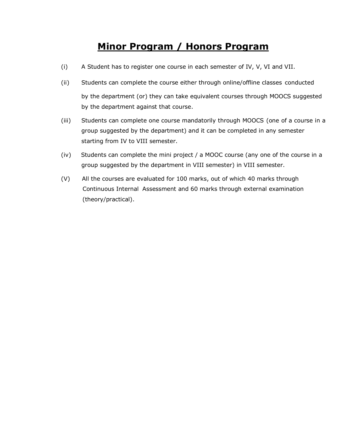# **Minor Program / Honors Program**

- (i) A Student has to register one course in each semester of IV, V, VI and VII.
- (ii) Students can complete the course either through online/offline classes conducted by the department (or) they can take equivalent courses through MOOCS suggested by the department against that course.
- (iii) Students can complete one course mandatorily through MOOCS (one of a course in a group suggested by the department) and it can be completed in any semester starting from IV to VIII semester.
- (iv) Students can complete the mini project / a MOOC course (any one of the course in a group suggested by the department in VIII semester) in VIII semester.
- (V) All the courses are evaluated for 100 marks, out of which 40 marks through Continuous Internal Assessment and 60 marks through external examination (theory/practical).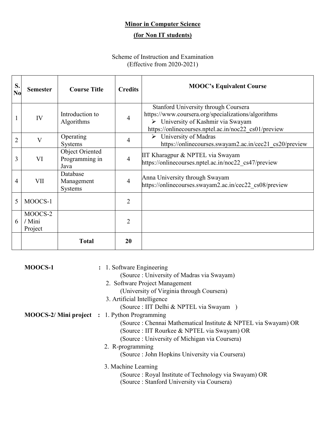## **Minor in Computer Science**

## **(for Non IT students)**

### Scheme of Instruction and Examination (Effective from 2020-2021)

| S.<br>N <sub>0</sub> | <b>Semester</b>              | <b>Course Title</b>                       | <b>Credits</b> | <b>MOOC's Equivalent Course</b>                                                                                                                                                           |
|----------------------|------------------------------|-------------------------------------------|----------------|-------------------------------------------------------------------------------------------------------------------------------------------------------------------------------------------|
| 1                    | IV                           | Introduction to<br>Algorithms             | 4              | Stanford University through Coursera<br>https://www.coursera.org/specializations/algorithms<br>> University of Kashmir via Swayam<br>https://onlinecourses.nptel.ac.in/noc22 cs01/preview |
| 2                    | V                            | Operating<br>Systems                      | 4              | University of Madras<br>➤<br>https://onlinecourses.swayam2.ac.in/cec21 cs20/preview                                                                                                       |
| 3                    | VI                           | Object Oriented<br>Programming in<br>Java | $\overline{4}$ | IIT Kharagpur & NPTEL via Swayam<br>https://onlinecourses.nptel.ac.in/noc22 cs47/preview                                                                                                  |
| 4                    | VII                          | Database<br>Management<br>Systems         | $\overline{4}$ | Anna University through Swayam<br>https://onlinecourses.swayam2.ac.in/cec22 cs08/preview                                                                                                  |
| 5                    | MOOCS-1                      |                                           | $\overline{2}$ |                                                                                                                                                                                           |
| 6                    | MOOCS-2<br>/ Mini<br>Project |                                           | $\overline{2}$ |                                                                                                                                                                                           |
|                      |                              | <b>Total</b>                              | 20             |                                                                                                                                                                                           |

| MOOCS-1 | : 1. Software Engineering                                       |
|---------|-----------------------------------------------------------------|
|         | (Source: University of Madras via Swayam)                       |
|         | 2. Software Project Management                                  |
|         | (University of Virginia through Coursera)                       |
|         | 3. Artificial Intelligence                                      |
|         | (Source : IIT Delhi & NPTEL via Swayam)                         |
|         | <b>MOOCS-2/ Mini project : 1. Python Programming</b>            |
|         | (Source : Chennai Mathematical Institute & NPTEL via Swayam) OR |
|         | (Source : IIT Rourkee & NPTEL via Swayam) OR                    |
|         | (Source : University of Michigan via Coursera)                  |
|         | 2. R-programming                                                |
|         | (Source : John Hopkins University via Coursera)                 |
|         | 3. Machine Learning                                             |
|         | (Source: Royal Institute of Technology via Swayam) OR           |
|         | (Source : Stanford University via Coursera)                     |
|         |                                                                 |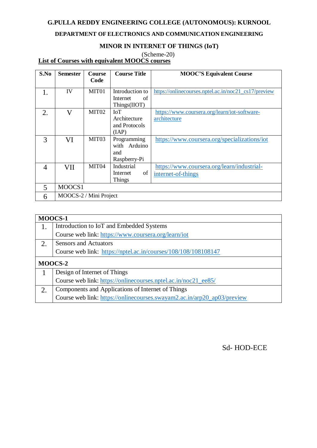#### **G.PULLA REDDY ENGINEERING COLLEGE (AUTONOMOUS): KURNOOL**

#### **DEPARTMENT OF ELECTRONICS AND COMMUNICATION ENGINEERING**

#### **MINOR IN INTERNET OF THINGS (IoT)**

(Scheme-20)

**List of Courses with equivalent MOOCS courses**

| S.No           | <b>Semester</b>        | <b>Course</b>     | <b>Course Title</b> | <b>MOOC'S Equivalent Course</b>                      |
|----------------|------------------------|-------------------|---------------------|------------------------------------------------------|
|                |                        | Code              |                     |                                                      |
| 1.             | IV                     | MIT <sub>01</sub> | Introduction to     | https://onlinecourses.nptel.ac.in/noc21_cs17/preview |
|                |                        |                   | Internet<br>of      |                                                      |
|                |                        |                   | Things(IIOT)        |                                                      |
| 2.             | $\rm V$                | MIT <sub>02</sub> | <b>IoT</b>          | https://www.coursera.org/learn/iot-software-         |
|                |                        |                   | Architecture        | architecture                                         |
|                |                        |                   | and Protocols       |                                                      |
|                |                        |                   | (IAP)               |                                                      |
| 3              | VI                     | MIT <sub>03</sub> | Programming         | https://www.coursera.org/specializations/iot         |
|                |                        |                   | Arduino<br>with     |                                                      |
|                |                        |                   | and                 |                                                      |
|                |                        |                   | Raspberry-Pi        |                                                      |
| $\overline{4}$ | VII                    | MIT <sub>04</sub> | Industrial          | https://www.coursera.org/learn/industrial-           |
|                |                        |                   | of<br>Internet      | internet-of-things                                   |
|                |                        |                   | <b>Things</b>       |                                                      |
| 5              | MOOCS1                 |                   |                     |                                                      |
| 6              | MOOCS-2 / Mini Project |                   |                     |                                                      |

| MOOCS-1 |                                                                         |
|---------|-------------------------------------------------------------------------|
| 1.      | Introduction to IoT and Embedded Systems                                |
|         | Course web link: https://www.coursera.org/learn/iot                     |
| 2.      | <b>Sensors and Actuators</b>                                            |
|         | Course web link: https://nptel.ac.in/courses/108/108/108108147          |
|         | MOOCS-2                                                                 |
|         | Design of Internet of Things                                            |
|         | Course web link: https://onlinecourses.nptel.ac.in/noc21_ee85/          |
| 2.      | Components and Applications of Internet of Things                       |
|         | Course web link: https://onlinecourses.swayam2.ac.in/arp20_ap03/preview |

Sd- HOD-ECE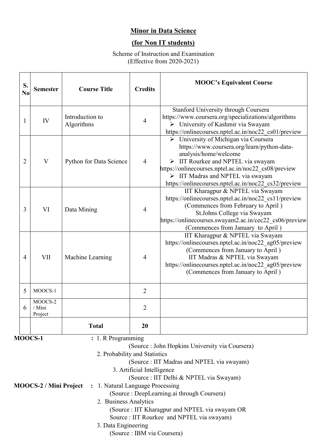## **Minor in Data Science**

## **(for Non IT students)**

Scheme of Instruction and Examination (Effective from 2020-2021)

| S.<br>$\bf No$ | <b>Semester</b>              | <b>Course Title</b>           | <b>Credits</b> | <b>MOOC's Equivalent Course</b>                                                                                                                                                                                                                                                                                         |
|----------------|------------------------------|-------------------------------|----------------|-------------------------------------------------------------------------------------------------------------------------------------------------------------------------------------------------------------------------------------------------------------------------------------------------------------------------|
| 1              | IV                           | Introduction to<br>Algorithms | $\overline{4}$ | Stanford University through Coursera<br>https://www.coursera.org/specializations/algorithms<br>> University of Kashmir via Swayam<br>https://onlinecourses.nptel.ac.in/noc22 cs01/preview                                                                                                                               |
| $\overline{2}$ | $\overline{\mathbf{V}}$      | Python for Data Science       | $\overline{4}$ | > University of Michigan via Coursera<br>https://www.coursera.org/learn/python-data-<br>analysis/home/welcome<br>$\triangleright$ IIT Rourkee and NPTEL via swayam<br>https://onlinecourses.nptel.ac.in/noc22 cs08/preview<br>> IIT Madras and NPTEL via swayam<br>https://onlinecourses.nptel.ac.in/noc22 cs32/preview |
| 3              | VI                           | Data Mining                   | $\overline{4}$ | IIT Kharagpur & NPTEL via Swayam<br>https://onlinecourses.nptel.ac.in/noc22 cs11/preview<br>(Commences from February to April)<br>St.Johns College via Swayam<br>https://onlinecourses.swayam2.ac.in/cec22 cs06/preview<br>(Commences from January to April)                                                            |
| $\overline{4}$ | <b>VII</b>                   | Machine Learning              | $\overline{4}$ | IIT Kharagpur & NPTEL via Swayam<br>https://onlinecourses.nptel.ac.in/noc22 ag05/preview<br>(Commences from January to April)<br>IIT Madras & NPTEL via Swayam<br>https://onlinecourses.nptel.ac.in/noc22 ag05/preview<br>(Commences from January to April)                                                             |
| 5              | MOOCS-1                      |                               | $\overline{2}$ |                                                                                                                                                                                                                                                                                                                         |
| 6              | MOOCS-2<br>/ Mini<br>Project |                               | $\overline{2}$ |                                                                                                                                                                                                                                                                                                                         |
|                |                              | <b>Total</b>                  | 20             |                                                                                                                                                                                                                                                                                                                         |

**MOOCS-1** : 1. R Programming

|                        | (Source : John Hopkins University via Coursera) |
|------------------------|-------------------------------------------------|
|                        | 2. Probability and Statistics                   |
|                        | (Source : IIT Madras and NPTEL via swayam)      |
|                        | 3. Artificial Intelligence                      |
|                        | (Source : IIT Delhi & NPTEL via Swayam)         |
| MOOCS-2 / Mini Project | : 1. Natural Language Processing                |
|                        | (Source : DeepLearning.ai through Coursera)     |
|                        | 2. Business Analytics                           |
|                        | (Source : IIT Kharagpur and NPTEL via swayam OR |
|                        | Source : IIT Rourkee and NPTEL via swayam)      |
|                        | 3. Data Engineering                             |
|                        | (Source : IBM via Coursera)                     |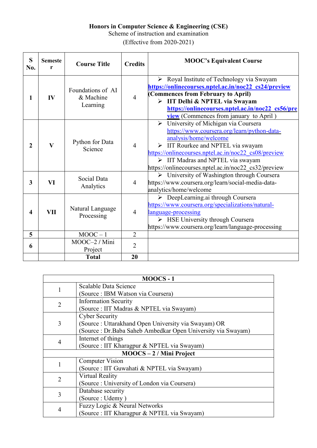#### **Honors in Computer Science & Engineering (CSE)**

Scheme of instruction and examination

(Effective from 2020-2021)

| S<br>No.                | <b>Semeste</b><br>r | <b>Course Title</b>                        | <b>Credits</b>                                                                                                                                                                                                                                                                             | <b>MOOC's Equivalent Course</b>                                                                                                                                                                                                                                                                                                                               |  |
|-------------------------|---------------------|--------------------------------------------|--------------------------------------------------------------------------------------------------------------------------------------------------------------------------------------------------------------------------------------------------------------------------------------------|---------------------------------------------------------------------------------------------------------------------------------------------------------------------------------------------------------------------------------------------------------------------------------------------------------------------------------------------------------------|--|
| 1                       | IV                  | Foundations of AI<br>& Machine<br>Learning | > Royal Institute of Technology via Swayam<br>https://onlinecourses.nptel.ac.in/noc22 cs24/preview<br>(Commences from February to April)<br>$\overline{4}$<br>> IIT Delhi & NPTEL via Swayam<br>https://onlinecourses.nptel.ac.in/noc22 cs56/pre<br>view (Commences from january to April) |                                                                                                                                                                                                                                                                                                                                                               |  |
| $\overline{2}$          | $\mathbf{V}$        | Python for Data<br>Science                 | $\overline{4}$                                                                                                                                                                                                                                                                             | University of Michigan via Coursera<br>$\blacktriangleright$<br>https://www.coursera.org/learn/python-data-<br>analysis/home/welcome<br>$\triangleright$ IIT Rourkee and NPTEL via swayam<br>https://onlinecourses.nptel.ac.in/noc22 cs08/preview<br>$\triangleright$ IIT Madras and NPTEL via swayam<br>https://onlinecourses.nptel.ac.in/noc22 cs32/preview |  |
| 3                       | VI                  | Social Data<br>Analytics                   | $\overline{\triangleright}$ University of Washington through Coursera<br>https://www.coursera.org/learn/social-media-data-<br>$\overline{4}$<br>analytics/home/welcome                                                                                                                     |                                                                                                                                                                                                                                                                                                                                                               |  |
| $\overline{\mathbf{4}}$ | <b>VII</b>          | Natural Language<br>Processing             | $\overline{4}$                                                                                                                                                                                                                                                                             | > DeepLearning.ai through Coursera<br>https://www.coursera.org/specializations/natural-<br>language-processing<br>$\triangleright$ HSE University through Coursera<br>https://www.coursera.org/learn/language-processing                                                                                                                                      |  |
| 5                       |                     | $MOOC - 1$                                 | $\overline{2}$                                                                                                                                                                                                                                                                             |                                                                                                                                                                                                                                                                                                                                                               |  |
| 6                       |                     | MOOC-2 / Mini<br>Project                   | $\overline{2}$                                                                                                                                                                                                                                                                             |                                                                                                                                                                                                                                                                                                                                                               |  |
|                         |                     | <b>Total</b>                               | 20                                                                                                                                                                                                                                                                                         |                                                                                                                                                                                                                                                                                                                                                               |  |

|                            | MOOCS-1                                                      |  |  |  |  |
|----------------------------|--------------------------------------------------------------|--|--|--|--|
| 1                          | Scalable Data Science                                        |  |  |  |  |
|                            | (Source : IBM Watson via Coursera)                           |  |  |  |  |
| $\overline{2}$             | <b>Information Security</b>                                  |  |  |  |  |
|                            | (Source : IIT Madras & NPTEL via Swayam)                     |  |  |  |  |
|                            | <b>Cyber Security</b>                                        |  |  |  |  |
| 3                          | (Source : Uttarakhand Open University via Swayam) OR         |  |  |  |  |
|                            | Source : Dr. Baba Saheb Ambedkar Open University via Swayam) |  |  |  |  |
| 4                          | Internet of things                                           |  |  |  |  |
|                            | (Source : IIT Kharagpur & NPTEL via Swayam)                  |  |  |  |  |
| $MOOCS - 2 / Mini Project$ |                                                              |  |  |  |  |
|                            | <b>Computer Vision</b>                                       |  |  |  |  |
| 1                          | (Source : IIT Guwahati & NPTEL via Swayam)                   |  |  |  |  |
| $\overline{2}$             | Virtual Reality                                              |  |  |  |  |
|                            | (Source : University of London via Coursera)                 |  |  |  |  |
| 3                          | Database security                                            |  |  |  |  |
|                            | (Source : Udemy)                                             |  |  |  |  |
| $\overline{4}$             | Fuzzy Logic & Neural Networks                                |  |  |  |  |
|                            | Source : IIT Kharagpur & NPTEL via Swayam)                   |  |  |  |  |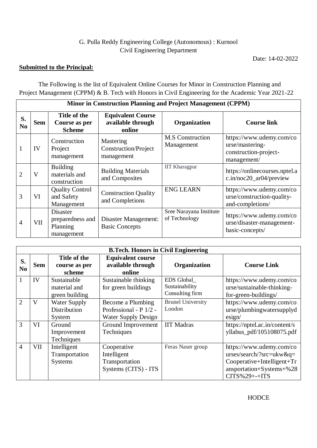### G. Pulla Reddy Engineering College (Autonomous) : Kurnool Civil Engineering Department

Date: 14-02-2022

 $\overline{\phantom{a}}$ 

#### **Submitted to the Principal:**

 $\mathbf{r}$ 

The Following is the list of Equivalent Online Courses for Minor in Construction Planning and Project Management (CPPM) & B. Tech with Honors in Civil Engineering for the Academic Year 2021-22

|                      | <b>Minor in Construction Planning and Project Management (CPPM)</b> |                                                               |                                                         |                                          |                                                                                     |  |
|----------------------|---------------------------------------------------------------------|---------------------------------------------------------------|---------------------------------------------------------|------------------------------------------|-------------------------------------------------------------------------------------|--|
| S.<br>N <sub>0</sub> | <b>Sem</b>                                                          | Title of the<br>Course as per<br><b>Scheme</b>                | <b>Equivalent Course</b><br>available through<br>online | Organization                             | <b>Course link</b>                                                                  |  |
|                      | IV                                                                  | Construction<br>Project<br>management                         | Mastering<br>Construction/Project<br>management         | <b>M.S</b> Construction<br>Management    | https://www.udemy.com/co<br>urse/mastering-<br>construction-project-<br>management/ |  |
| 2                    | V                                                                   | <b>Building</b><br>materials and<br>construction              | <b>Building Materials</b><br>and Composites             | <b>IIT Kharagpur</b>                     | https://onlinecourses.nptel.a<br>c.in/noc20_ar04/preview                            |  |
| 3                    | VI                                                                  | <b>Quality Control</b><br>and Safety<br>Management            | <b>Construction Quality</b><br>and Completions          | <b>ENG LEARN</b>                         | https://www.udemy.com/co<br>urse/construction-quality-<br>and-completions/          |  |
| 4                    | <b>VII</b>                                                          | <b>Disaster</b><br>preparedness and<br>Planning<br>management | Disaster Management:<br><b>Basic Concepts</b>           | Sree Narayana Institute<br>of Technology | https://www.udemy.com/co<br>urse/disaster-management-<br>basic-concepts/            |  |

|                      |                         |                                                 | <b>B.Tech. Honors in Civil Engineering</b>                                |                                                        |                                                                                                                                  |
|----------------------|-------------------------|-------------------------------------------------|---------------------------------------------------------------------------|--------------------------------------------------------|----------------------------------------------------------------------------------------------------------------------------------|
| S.<br>N <sub>0</sub> | <b>Sem</b>              | Title of the<br>course as per<br>scheme         | <b>Equivalent course</b><br>available through<br>online                   | Organization                                           | <b>Course Link</b>                                                                                                               |
| 1                    | IV                      | Sustainable<br>material and<br>green building   | Sustainable thinking<br>for green buildings                               | <b>EDS</b> Global<br>Sustainability<br>Consulting firm | https://www.udemy.com/co<br>urse/sustainable-thinking-<br>for-green-buildings/                                                   |
| $\overline{2}$       | $\overline{\mathsf{V}}$ | <b>Water Supply</b><br>Distribution<br>System   | Become a Plumbing<br>Professional - P 1/2 -<br><b>Water Supply Design</b> | <b>Brunel University</b><br>London                     | https://www.udemy.com/co<br>urse/plumbingwatersupplyd<br>$\text{esign}/$                                                         |
| 3                    | VI                      | Ground<br>Improvement<br>Techniques             | Ground Improvement<br>Techniques                                          | <b>IIT Madras</b>                                      | https://nptel.ac.in/content/s<br>yllabus_pdf/105108075.pdf                                                                       |
| $\overline{4}$       | VII-                    | Intelligent<br>Transportation<br><b>Systems</b> | Cooperative<br>Intelligent<br>Transportation<br>Systems (CITS) - ITS      | Feras Naser group                                      | https://www.udemy.com/co<br>urses/search/?src=ukw&q=<br>Cooperative+Intelligent+Tr<br>ansportation+Systems+%28<br>$CITS%29++ITS$ |

HODCE **HODCE**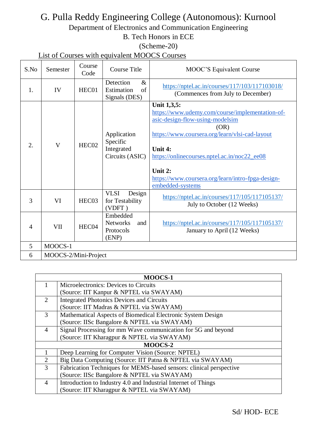# G. Pulla Reddy Engineering College (Autonomous): Kurnool

Department of Electronics and Communication Engineering

B. Tech Honors in ECE

## (Scheme-20)

List of Courses with equivalent MOOCS Courses

| S.No           | Semester             | Course<br>Code    | <b>Course Title</b>                                      | MOOC'S Equivalent Course                                                                                                                                                                                                                                                                                   |
|----------------|----------------------|-------------------|----------------------------------------------------------|------------------------------------------------------------------------------------------------------------------------------------------------------------------------------------------------------------------------------------------------------------------------------------------------------------|
| 1.             | IV                   | HEC01             | Detection<br>$\&$<br>Estimation<br>of<br>Signals (DES)   | https://nptel.ac.in/courses/117/103/117103018/<br>(Commences from July to December)                                                                                                                                                                                                                        |
| 2.             | V                    | HEC <sub>02</sub> | Application<br>Specific<br>Integrated<br>Circuits (ASIC) | Unit 1,3,5:<br>https://www.udemy.com/course/implementation-of-<br>asic-design-flow-using-modelsim<br>(OR)<br>https://www.coursera.org/learn/vlsi-cad-layout<br>Unit 4:<br>https://onlinecourses.nptel.ac.in/noc22_ee08<br>Unit 2:<br>https://www.coursera.org/learn/intro-fpga-design-<br>embedded-systems |
| 3              | VI                   | HEC03             | <b>VLSI</b><br>Design<br>for Testability<br>(VDFT)       | https://nptel.ac.in/courses/117/105/117105137/<br>July to October (12 Weeks)                                                                                                                                                                                                                               |
| $\overline{A}$ | VII                  | HEC04             | Embedded<br><b>Networks</b><br>and<br>Protocols<br>(ENP) | https://nptel.ac.in/courses/117/105/117105137/<br>January to April (12 Weeks)                                                                                                                                                                                                                              |
| 5              | MOOCS-1              |                   |                                                          |                                                                                                                                                                                                                                                                                                            |
| 6              | MOOCS-2/Mini-Project |                   |                                                          |                                                                                                                                                                                                                                                                                                            |

|                | <b>MOOCS-1</b>                                                      |  |  |  |  |
|----------------|---------------------------------------------------------------------|--|--|--|--|
|                | Microelectronics: Devices to Circuits                               |  |  |  |  |
|                | (Source: IIT Kanpur & NPTEL via SWAYAM)                             |  |  |  |  |
| 2              | <b>Integrated Photonics Devices and Circuits</b>                    |  |  |  |  |
|                | (Source: IIT Madras & NPTEL via SWAYAM)                             |  |  |  |  |
| 3              | Mathematical Aspects of Biomedical Electronic System Design         |  |  |  |  |
|                | (Source: IISc Bangalore & NPTEL via SWAYAM)                         |  |  |  |  |
| $\overline{4}$ | Signal Processing for mm Wave communication for 5G and beyond       |  |  |  |  |
|                | (Source: IIT Kharagpur & NPTEL via SWAYAM)                          |  |  |  |  |
|                | MOOCS-2                                                             |  |  |  |  |
|                | Deep Learning for Computer Vision (Source: NPTEL)                   |  |  |  |  |
| $\overline{2}$ | Big Data Computing (Source: IIT Patna & NPTEL via SWAYAM)           |  |  |  |  |
| $\overline{3}$ | Fabrication Techniques for MEMS-based sensors: clinical perspective |  |  |  |  |
|                | (Source: IISc Bangalore & NPTEL via SWAYAM)                         |  |  |  |  |
| $\overline{4}$ | Introduction to Industry 4.0 and Industrial Internet of Things      |  |  |  |  |
|                | (Source: IIT Kharagpur & NPTEL via SWAYAM)                          |  |  |  |  |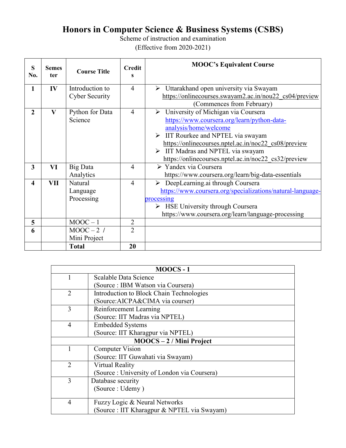## **Honors in Computer Science & Business Systems (CSBS)**

Scheme of instruction and examination (Effective from 2020-2021)

| S<br>No.     | <b>Semes</b><br>ter     | <b>Course Title</b>   | <b>Credit</b><br>S | <b>MOOC's Equivalent Course</b>                                 |
|--------------|-------------------------|-----------------------|--------------------|-----------------------------------------------------------------|
| $\mathbf{1}$ | IV                      | Introduction to       | $\overline{4}$     | $\triangleright$ Uttarakhand open university via Swayam         |
|              |                         | <b>Cyber Security</b> |                    | https://onlinecourses.swayam2.ac.in/nou22 cs04/preview          |
|              |                         |                       |                    | (Commences from February)                                       |
| $\mathbf{2}$ | $\overline{\mathbf{V}}$ | Python for Data       | $\overline{4}$     | $\overline{\triangleright}$ University of Michigan via Coursera |
|              |                         | Science               |                    | https://www.coursera.org/learn/python-data-                     |
|              |                         |                       |                    | analysis/home/welcome                                           |
|              |                         |                       |                    | $\triangleright$ IIT Rourkee and NPTEL via swayam               |
|              |                         |                       |                    | https://onlinecourses.nptel.ac.in/noc22 cs08/preview            |
|              |                         |                       |                    | $\triangleright$ IIT Madras and NPTEL via swayam                |
|              |                         |                       |                    | https://onlinecourses.nptel.ac.in/noc22 cs32/preview            |
| 3            | VI                      | <b>Big Data</b>       | $\overline{4}$     | $\sqrt{\phantom{a}}$ Yandex via Coursera                        |
|              |                         | Analytics             |                    | https://www.coursera.org/learn/big-data-essentials              |
| 4            | <b>VII</b>              | Natural               | 4                  | DeepLearning.ai through Coursera<br>➤                           |
|              |                         | Language              |                    | https://www.coursera.org/specializations/natural-language-      |
|              |                         | Processing            |                    | processing                                                      |
|              |                         |                       |                    | $\triangleright$ HSE University through Coursera                |
|              |                         |                       |                    | https://www.coursera.org/learn/language-processing              |
| 5            |                         | $MOOC - 1$            | $\overline{2}$     |                                                                 |
| 6            |                         | $MOOC - 2$ /          | $\overline{2}$     |                                                                 |
|              |                         | Mini Project          |                    |                                                                 |
|              |                         | <b>Total</b>          | 20                 |                                                                 |

| $MOOCS - 1$                |                                              |  |  |  |  |
|----------------------------|----------------------------------------------|--|--|--|--|
|                            | Scalable Data Science                        |  |  |  |  |
|                            | Source : IBM Watson via Coursera)            |  |  |  |  |
| 2                          | Introduction to Block Chain Technologies     |  |  |  |  |
|                            | (Source: AICPA&CIMA via courser)             |  |  |  |  |
| 3                          | Reinforcement Learning                       |  |  |  |  |
|                            | (Source: IIT Madras via NPTEL)               |  |  |  |  |
| 4                          | <b>Embedded Systems</b>                      |  |  |  |  |
|                            | (Source: IIT Kharagpur via NPTEL)            |  |  |  |  |
| $MOOCS - 2 / Mini Project$ |                                              |  |  |  |  |
|                            | <b>Computer Vision</b>                       |  |  |  |  |
|                            | (Source: IIT Guwahati via Swayam)            |  |  |  |  |
| 2                          | Virtual Reality                              |  |  |  |  |
|                            | (Source : University of London via Coursera) |  |  |  |  |
| 3                          | Database security                            |  |  |  |  |
|                            | (Source : Udemy)                             |  |  |  |  |
|                            |                                              |  |  |  |  |
| $\overline{4}$             | Fuzzy Logic & Neural Networks                |  |  |  |  |
|                            | (Source : IIT Kharagpur & NPTEL via Swayam)  |  |  |  |  |